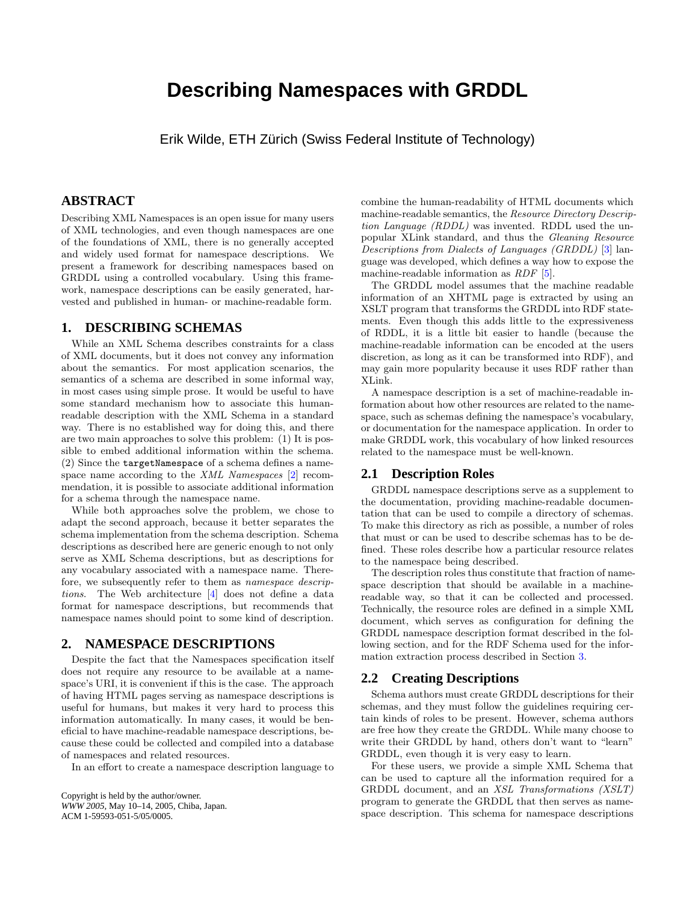# <span id="page-0-0"></span>**Describing Namespaces with GRDDL**

Erik Wilde, ETH Zürich (Swiss Federal Institute of Technology)

## **ABSTRACT**

Describing XML Namespaces is an open issue for many users of XML technologies, and even though namespaces are one of the foundations of XML, there is no generally accepted and widely used format for namespace descriptions. We present a framework for describing namespaces based on GRDDL using a controlled vocabulary. Using this framework, namespace descriptions can be easily generated, harvested and published in human- or machine-readable form.

## **1. DESCRIBING SCHEMAS**

While an XML Schema describes constraints for a class of XML documents, but it does not convey any information about the semantics. For most application scenarios, the semantics of a schema are described in some informal way, in most cases using simple prose. It would be useful to have some standard mechanism how to associate this humanreadable description with the XML Schema in a standard way. There is no established way for doing this, and there are two main approaches to solve this problem: (1) It is possible to embed additional information within the schema. (2) Since the targetNamespace of a schema defines a namespace name according to the XML Namespaces [\[2\]](#page-1-0) recommendation, it is possible to associate additional information for a schema through the namespace name.

While both approaches solve the problem, we chose to adapt the second approach, because it better separates the schema implementation from the schema description. Schema descriptions as described here are generic enough to not only serve as XML Schema descriptions, but as descriptions for any vocabulary associated with a namespace name. Therefore, we subsequently refer to them as namespace descriptions. The Web architecture [\[4\]](#page-1-0) does not define a data format for namespace descriptions, but recommends that namespace names should point to some kind of description.

## **2. NAMESPACE DESCRIPTIONS**

Despite the fact that the Namespaces specification itself does not require any resource to be available at a namespace's URI, it is convenient if this is the case. The approach of having HTML pages serving as namespace descriptions is useful for humans, but makes it very hard to process this information automatically. In many cases, it would be beneficial to have machine-readable namespace descriptions, because these could be collected and compiled into a database of namespaces and related resources.

In an effort to create a namespace description language to

Copyright is held by the author/owner. *WWW 2005,* May 10–14, 2005, Chiba, Japan. ACM 1-59593-051-5/05/0005.

combine the human-readability of HTML documents which machine-readable semantics, the Resource Directory Description Language (RDDL) was invented. RDDL used the unpopular XLink standard, and thus the Gleaning Resource Descriptions from Dialects of Languages (GRDDL) [\[3\]](#page-1-0) language was developed, which defines a way how to expose the machine-readable information as RDF [\[5\]](#page-1-0).

The GRDDL model assumes that the machine readable information of an XHTML page is extracted by using an XSLT program that transforms the GRDDL into RDF statements. Even though this adds little to the expressiveness of RDDL, it is a little bit easier to handle (because the machine-readable information can be encoded at the users discretion, as long as it can be transformed into RDF), and may gain more popularity because it uses RDF rather than XLink.

A namespace description is a set of machine-readable information about how other resources are related to the namespace, such as schemas defining the namespace's vocabulary, or documentation for the namespace application. In order to make GRDDL work, this vocabulary of how linked resources related to the namespace must be well-known.

#### **2.1 Description Roles**

GRDDL namespace descriptions serve as a supplement to the documentation, providing machine-readable documentation that can be used to compile a directory of schemas. To make this directory as rich as possible, a number of roles that must or can be used to describe schemas has to be defined. These roles describe how a particular resource relates to the namespace being described.

The description roles thus constitute that fraction of namespace description that should be available in a machinereadable way, so that it can be collected and processed. Technically, the resource roles are defined in a simple XML document, which serves as configuration for defining the GRDDL namespace description format described in the following section, and for the RDF Schema used for the information extraction process described in Section [3.](#page-1-0)

#### **2.2 Creating Descriptions**

Schema authors must create GRDDL descriptions for their schemas, and they must follow the guidelines requiring certain kinds of roles to be present. However, schema authors are free how they create the GRDDL. While many choose to write their GRDDL by hand, others don't want to "learn" GRDDL, even though it is very easy to learn.

For these users, we provide a simple XML Schema that can be used to capture all the information required for a GRDDL document, and an XSL Transformations (XSLT) program to generate the GRDDL that then serves as namespace description. This schema for namespace descriptions